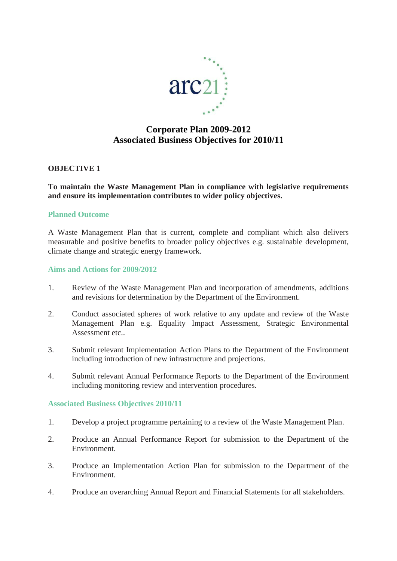

# **Corporate Plan 2009-2012 Associated Business Objectives for 2010/11**

# **OBJECTIVE 1**

# **To maintain the Waste Management Plan in compliance with legislative requirements and ensure its implementation contributes to wider policy objectives.**

#### **Planned Outcome**

A Waste Management Plan that is current, complete and compliant which also delivers measurable and positive benefits to broader policy objectives e.g. sustainable development, climate change and strategic energy framework.

## **Aims and Actions for 2009/2012**

- 1. Review of the Waste Management Plan and incorporation of amendments, additions and revisions for determination by the Department of the Environment.
- 2. Conduct associated spheres of work relative to any update and review of the Waste Management Plan e.g. Equality Impact Assessment, Strategic Environmental Assessment etc..
- 3. Submit relevant Implementation Action Plans to the Department of the Environment including introduction of new infrastructure and projections.
- 4. Submit relevant Annual Performance Reports to the Department of the Environment including monitoring review and intervention procedures.

#### **Associated Business Objectives 2010/11**

- 1. Develop a project programme pertaining to a review of the Waste Management Plan.
- 2. Produce an Annual Performance Report for submission to the Department of the Environment.
- 3. Produce an Implementation Action Plan for submission to the Department of the Environment.
- 4. Produce an overarching Annual Report and Financial Statements for all stakeholders.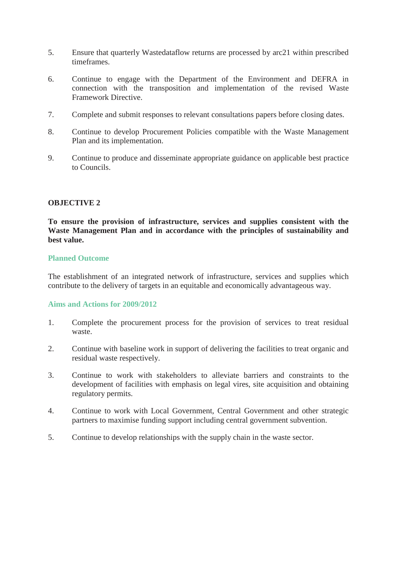- 5. Ensure that quarterly Wastedataflow returns are processed by arc21 within prescribed timeframes.
- 6. Continue to engage with the Department of the Environment and DEFRA in connection with the transposition and implementation of the revised Waste Framework Directive.
- 7. Complete and submit responses to relevant consultations papers before closing dates.
- 8. Continue to develop Procurement Policies compatible with the Waste Management Plan and its implementation.
- 9. Continue to produce and disseminate appropriate guidance on applicable best practice to Councils.

# **OBJECTIVE 2**

**To ensure the provision of infrastructure, services and supplies consistent with the Waste Management Plan and in accordance with the principles of sustainability and best value.**

#### **Planned Outcome**

The establishment of an integrated network of infrastructure, services and supplies which contribute to the delivery of targets in an equitable and economically advantageous way.

# **Aims and Actions for 2009/2012**

- 1. Complete the procurement process for the provision of services to treat residual waste.
- 2. Continue with baseline work in support of delivering the facilities to treat organic and residual waste respectively.
- 3. Continue to work with stakeholders to alleviate barriers and constraints to the development of facilities with emphasis on legal vires, site acquisition and obtaining regulatory permits.
- 4. Continue to work with Local Government, Central Government and other strategic partners to maximise funding support including central government subvention.
- 5. Continue to develop relationships with the supply chain in the waste sector.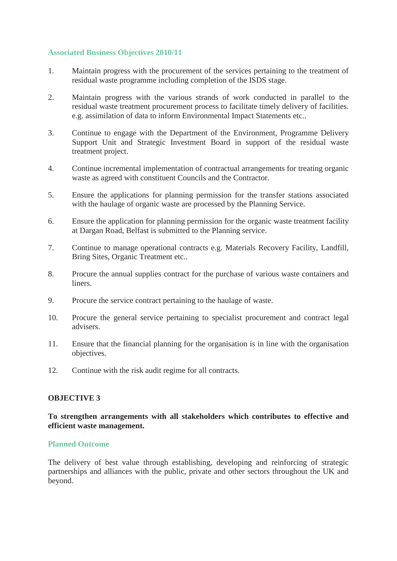# **Associated Business Objectives 2010/11**

- 1. Maintain progress with the procurement of the services pertaining to the treatment of residual waste programme including completion of the ISDS stage.
- 2. Maintain progress with the various strands of work conducted in parallel to the residual waste treatment procurement process to facilitate timely delivery of facilities. e.g. assimilation of data to inform Environmental Impact Statements etc..
- 3. Continue to engage with the Department of the Environment, Programme Delivery Support Unit and Strategic Investment Board in support of the residual waste treatment project.
- 4. Continue incremental implementation of contractual arrangements for treating organic waste as agreed with constituent Councils and the Contractor.
- 5. Ensure the applications for planning permission for the transfer stations associated with the haulage of organic waste are processed by the Planning Service.
- 6. Ensure the application for planning permission for the organic waste treatment facility at Dargan Road, Belfast is submitted to the Planning service.
- 7. Continue to manage operational contracts e.g. Materials Recovery Facility, Landfill, Bring Sites, Organic Treatment etc..
- 8. Procure the annual supplies contract for the purchase of various waste containers and liners.
- 9. Procure the service contract pertaining to the haulage of waste.
- 10. Procure the general service pertaining to specialist procurement and contract legal advisers.
- 11. Ensure that the financial planning for the organisation is in line with the organisation objectives.
- 12. Continue with the risk audit regime for all contracts.

# **OBJECTIVE 3**

# **To strengthen arrangements with all stakeholders which contributes to effective and efficient waste management.**

# **Planned Outcome**

The delivery of best value through establishing, developing and reinforcing of strategic partnerships and alliances with the public, private and other sectors throughout the UK and beyond.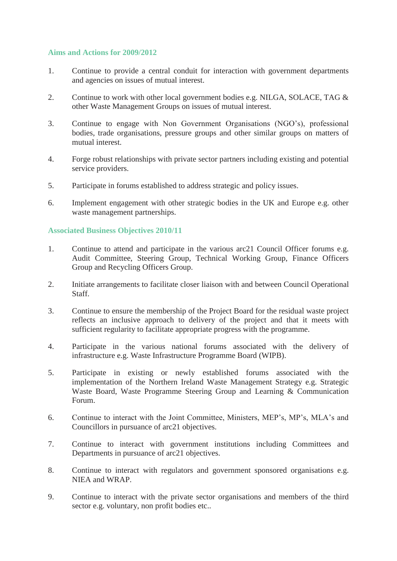## **Aims and Actions for 2009/2012**

- 1. Continue to provide a central conduit for interaction with government departments and agencies on issues of mutual interest.
- 2. Continue to work with other local government bodies e.g. NILGA, SOLACE, TAG & other Waste Management Groups on issues of mutual interest.
- 3. Continue to engage with Non Government Organisations (NGO's), professional bodies, trade organisations, pressure groups and other similar groups on matters of mutual interest.
- 4. Forge robust relationships with private sector partners including existing and potential service providers.
- 5. Participate in forums established to address strategic and policy issues.
- 6. Implement engagement with other strategic bodies in the UK and Europe e.g. other waste management partnerships.

# **Associated Business Objectives 2010/11**

- 1. Continue to attend and participate in the various arc21 Council Officer forums e.g. Audit Committee, Steering Group, Technical Working Group, Finance Officers Group and Recycling Officers Group.
- 2. Initiate arrangements to facilitate closer liaison with and between Council Operational Staff.
- 3. Continue to ensure the membership of the Project Board for the residual waste project reflects an inclusive approach to delivery of the project and that it meets with sufficient regularity to facilitate appropriate progress with the programme.
- 4. Participate in the various national forums associated with the delivery of infrastructure e.g. Waste Infrastructure Programme Board (WIPB).
- 5. Participate in existing or newly established forums associated with the implementation of the Northern Ireland Waste Management Strategy e.g. Strategic Waste Board, Waste Programme Steering Group and Learning & Communication Forum.
- 6. Continue to interact with the Joint Committee, Ministers, MEP's, MP's, MLA's and Councillors in pursuance of arc21 objectives.
- 7. Continue to interact with government institutions including Committees and Departments in pursuance of arc21 objectives.
- 8. Continue to interact with regulators and government sponsored organisations e.g. NIEA and WRAP.
- 9. Continue to interact with the private sector organisations and members of the third sector e.g. voluntary, non profit bodies etc..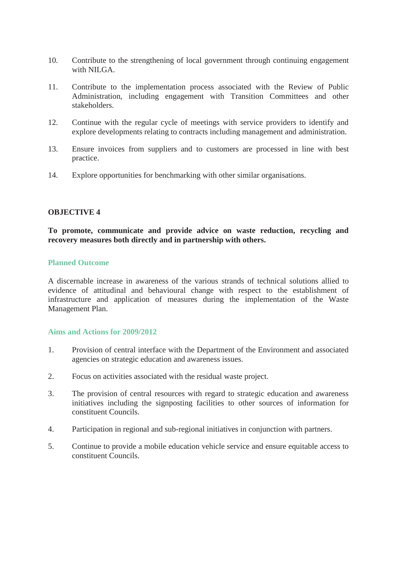- 10. Contribute to the strengthening of local government through continuing engagement with NILGA.
- 11. Contribute to the implementation process associated with the Review of Public Administration, including engagement with Transition Committees and other stakeholders.
- 12. Continue with the regular cycle of meetings with service providers to identify and explore developments relating to contracts including management and administration.
- 13. Ensure invoices from suppliers and to customers are processed in line with best practice.
- 14. Explore opportunities for benchmarking with other similar organisations.

#### **OBJECTIVE 4**

## **To promote, communicate and provide advice on waste reduction, recycling and recovery measures both directly and in partnership with others.**

#### **Planned Outcome**

A discernable increase in awareness of the various strands of technical solutions allied to evidence of attitudinal and behavioural change with respect to the establishment of infrastructure and application of measures during the implementation of the Waste Management Plan.

#### **Aims and Actions for 2009/2012**

- 1. Provision of central interface with the Department of the Environment and associated agencies on strategic education and awareness issues.
- 2. Focus on activities associated with the residual waste project.
- 3. The provision of central resources with regard to strategic education and awareness initiatives including the signposting facilities to other sources of information for constituent Councils.
- 4. Participation in regional and sub-regional initiatives in conjunction with partners.
- 5. Continue to provide a mobile education vehicle service and ensure equitable access to constituent Councils.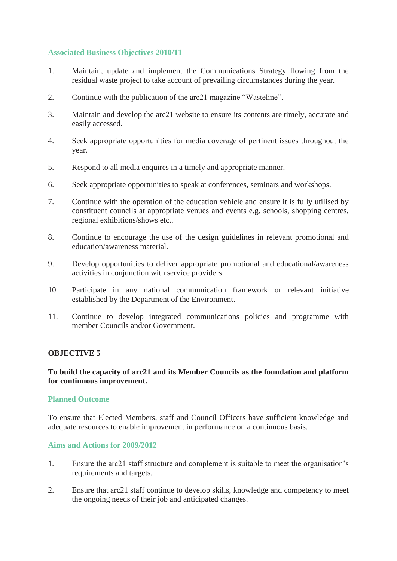# **Associated Business Objectives 2010/11**

- 1. Maintain, update and implement the Communications Strategy flowing from the residual waste project to take account of prevailing circumstances during the year.
- 2. Continue with the publication of the arc21 magazine "Wasteline".
- 3. Maintain and develop the arc21 website to ensure its contents are timely, accurate and easily accessed.
- 4. Seek appropriate opportunities for media coverage of pertinent issues throughout the year.
- 5. Respond to all media enquires in a timely and appropriate manner.
- 6. Seek appropriate opportunities to speak at conferences, seminars and workshops.
- 7. Continue with the operation of the education vehicle and ensure it is fully utilised by constituent councils at appropriate venues and events e.g. schools, shopping centres, regional exhibitions/shows etc..
- 8. Continue to encourage the use of the design guidelines in relevant promotional and education/awareness material.
- 9. Develop opportunities to deliver appropriate promotional and educational/awareness activities in conjunction with service providers.
- 10. Participate in any national communication framework or relevant initiative established by the Department of the Environment.
- 11. Continue to develop integrated communications policies and programme with member Councils and/or Government.

#### **OBJECTIVE 5**

# **To build the capacity of arc21 and its Member Councils as the foundation and platform for continuous improvement.**

#### **Planned Outcome**

To ensure that Elected Members, staff and Council Officers have sufficient knowledge and adequate resources to enable improvement in performance on a continuous basis.

#### **Aims and Actions for 2009/2012**

- 1. Ensure the arc21 staff structure and complement is suitable to meet the organisation's requirements and targets.
- 2. Ensure that arc21 staff continue to develop skills, knowledge and competency to meet the ongoing needs of their job and anticipated changes.